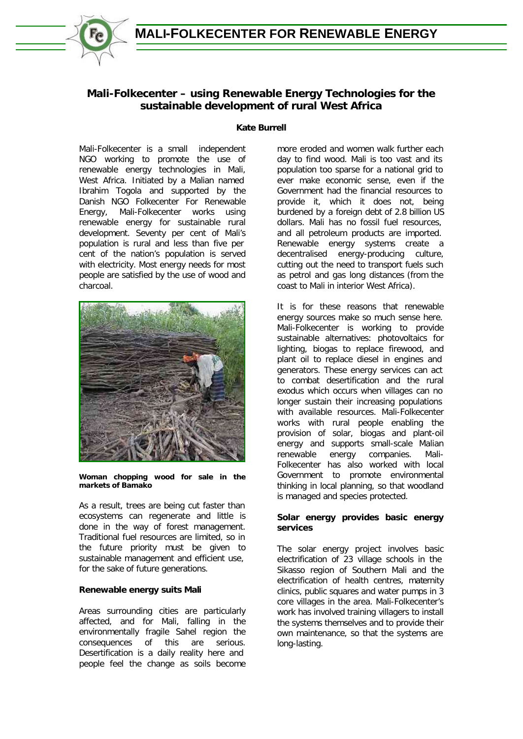



#### **Kate Burrell**

Mali-Folkecenter is a small independent NGO working to promote the use of renewable energy technologies in Mali, West Africa. Initiated by a Malian named Ibrahim Togola and supported by the Danish NGO Folkecenter For Renewable Energy, Mali-Folkecenter works using renewable energy for sustainable rural development. Seventy per cent of Mali's population is rural and less than five per cent of the nation's population is served with electricity. Most energy needs for most people are satisfied by the use of wood and charcoal.



**Woman chopping wood for sale in the markets of Bamako**

As a result, trees are being cut faster than ecosystems can regenerate and little is done in the way of forest management. Traditional fuel resources are limited, so in the future priority must be given to sustainable management and efficient use, for the sake of future generations.

#### **Renewable energy suits Mali**

Areas surrounding cities are particularly affected, and for Mali, falling in the environmentally fragile Sahel region the consequences of this are serious. Desertification is a daily reality here and people feel the change as soils become more eroded and women walk further each day to find wood. Mali is too vast and its population too sparse for a national grid to ever make economic sense, even if the Government had the financial resources to provide it, which it does not, being burdened by a foreign debt of 2.8 billion US dollars. Mali has no fossil fuel resources, and all petroleum products are imported. Renewable energy systems create a decentralised energy-producing culture, cutting out the need to transport fuels such as petrol and gas long distances (from the coast to Mali in interior West Africa).

It is for these reasons that renewable energy sources make so much sense here. Mali-Folkecenter is working to provide sustainable alternatives: photovoltaics for lighting, biogas to replace firewood, and plant oil to replace diesel in engines and generators. These energy services can act to combat desertification and the rural exodus which occurs when villages can no longer sustain their increasing populations with available resources. Mali-Folkecenter works with rural people enabling the provision of solar, biogas and plant-oil energy and supports small-scale Malian renewable energy companies. Mali-Folkecenter has also worked with local Government to promote environmental thinking in local planning, so that woodland is managed and species protected.

## **Solar energy provides basic energy services**

The solar energy project involves basic electrification of 23 village schools in the Sikasso region of Southern Mali and the electrification of health centres, maternity clinics, public squares and water pumps in 3 core villages in the area. Mali-Folkecenter's work has involved training villagers to install the systems themselves and to provide their own maintenance, so that the systems are long-lasting.